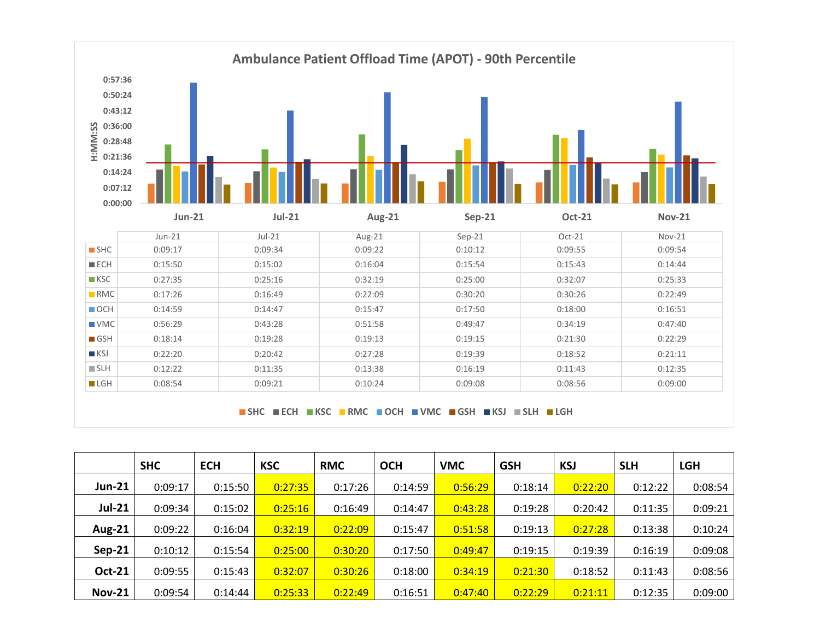

**SHC ECH KSC RMC OCH VMC GSH KSJ SLH LGH**

|               | <b>SHC</b> | <b>ECH</b> | <b>KSC</b> | <b>RMC</b> | <b>OCH</b> | <b>VMC</b> | <b>GSH</b> | <b>KSJ</b> | <b>SLH</b> | <b>LGH</b> |
|---------------|------------|------------|------------|------------|------------|------------|------------|------------|------------|------------|
| <b>Jun-21</b> | 0:09:17    | 0:15:50    | 0:27:35    | 0:17:26    | 0:14:59    | 0:56:29    | 0:18:14    | 0:22:20    | 0:12:22    | 0:08:54    |
| <b>Jul-21</b> | 0:09:34    | 0:15:02    | 0:25:16    | 0:16:49    | 0:14:47    | 0:43:28    | 0:19:28    | 0:20:42    | 0:11:35    | 0:09:21    |
| <b>Aug-21</b> | 0:09:22    | 0:16:04    | 0:32:19    | 0:22:09    | 0:15:47    | 0:51:58    | 0:19:13    | 0:27:28    | 0:13:38    | 0:10:24    |
| Sep-21        | 0:10:12    | 0:15:54    | 0:25:00    | 0:30:20    | 0:17:50    | 0:49:47    | 0:19:15    | 0:19:39    | 0:16:19    | 0:09:08    |
| <b>Oct-21</b> | 0:09:55    | 0:15:43    | 0:32:07    | 0:30:26    | 0:18:00    | 0:34:19    | 0:21:30    | 0:18:52    | 0:11:43    | 0:08:56    |
| <b>Nov-21</b> | 0:09:54    | 0:14:44    | 0:25:33    | 0:22:49    | 0:16:51    | 0:47:40    | 0:22:29    | 0:21:11    | 0:12:35    | 0:09:00    |